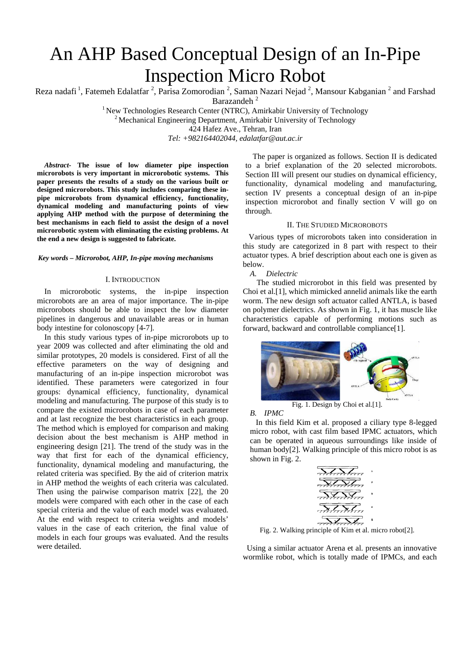# An AHP Based Conceptual Design of an In-Pipe Inspection Micro Robot

Reza nadafi<sup>1</sup>, Fatemeh Edalatfar<sup>2</sup>, Parisa Zomorodian<sup>2</sup>, Saman Nazari Nejad<sup>2</sup>, Mansour Kabganian<sup>2</sup> and Farshad Barazandeh<sup>2</sup>

<sup>1</sup> New Technologies Research Center (NTRC), Amirkabir University of Technology <sup>2</sup> Mechanical Engineering Department, Amirkabir University of Technology 424 Hafez Ave., Tehran, Iran

*Tel: +982164402044, edalatfar@aut.ac.ir*

*Abstract-* **The issue of low diameter pipe inspection microrobots is very important in microrobotic systems. This paper presents the results of a study on the various built or designed microrobots. This study includes comparing these inpipe microrobots from dynamical efficiency, functionality, dynamical modeling and manufacturing points of view applying AHP method with the purpose of determining the best mechanisms in each field to assist the design of a novel microrobotic system with eliminating the existing problems. At the end a new design is suggested to fabricate.** 

## *Key words – Microrobot, AHP, In-pipe moving mechanisms*

#### I. INTRODUCTION

In microrobotic systems, the in-pipe inspection microrobots are an area of major importance. The in-pipe microrobots should be able to inspect the low diameter pipelines in dangerous and unavailable areas or in human body intestine for colonoscopy [4-7].

In this study various types of in-pipe microrobots up to year 2009 was collected and after eliminating the old and similar prototypes, 20 models is considered. First of all the effective parameters on the way of designing and manufacturing of an in-pipe inspection microrobot was identified. These parameters were categorized in four groups: dynamical efficiency, functionality, dynamical modeling and manufacturing. The purpose of this study is to compare the existed microrobots in case of each parameter and at last recognize the best characteristics in each group. The method which is employed for comparison and making decision about the best mechanism is AHP method in engineering design [21]. The trend of the study was in the way that first for each of the dynamical efficiency, functionality, dynamical modeling and manufacturing, the related criteria was specified. By the aid of criterion matrix in AHP method the weights of each criteria was calculated. Then using the pairwise comparison matrix [22], the 20 models were compared with each other in the case of each special criteria and the value of each model was evaluated. At the end with respect to criteria weights and models' values in the case of each criterion, the final value of models in each four groups was evaluated. And the results were detailed.

The paper is organized as follows. Section II is dedicated to a brief explanation of the 20 selected microrobots. Section III will present our studies on dynamical efficiency, functionality, dynamical modeling and manufacturing, section IV presents a conceptual design of an in-pipe inspection microrobot and finally section V will go on through.

## II. THE STUDIED MICROROBOTS

 Various types of microrobots taken into consideration in this study are categorized in 8 part with respect to their actuator types. A brief description about each one is given as below.

*A. Dielectric*

 The studied microrobot in this field was presented by Choi et al.[1], which mimicked annelid animals like the earth worm. The new design soft actuator called ANTLA, is based on polymer dielectrics. As shown in Fig. 1, it has muscle like characteristics capable of performing motions such as forward, backward and controllable compliance[1].



Fig. 1. Design by Choi et al.[1].

*B. IPMC* 

 In this field Kim et al. proposed a ciliary type 8-legged micro robot, with cast film based IPMC actuators, which can be operated in aqueous surroundings like inside of human body[2]. Walking principle of this micro robot is as shown in Fig. 2.

| Tartaa                   |  |
|--------------------------|--|
| $\sqrt{X}$               |  |
| <del>NINI</del>          |  |
| $\overline{\mathcal{M}}$ |  |
|                          |  |

Fig. 2. Walking principle of Kim et al. micro robot[2].

 Using a similar actuator Arena et al. presents an innovative wormlike robot, which is totally made of IPMCs, and each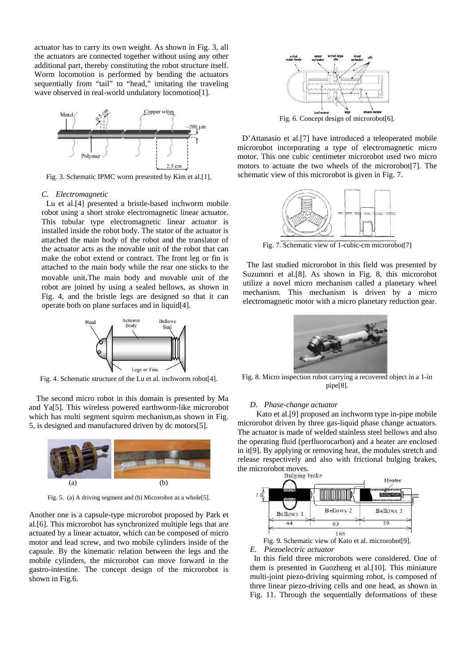actuator has to carry its own weight. As shown in Fig. 3, all the actuators are connected together without using any other additional part, thereby constituting the robot structure itself. Worm locomotion is performed by bending the actuators sequentially from "tail" to "head," imitating the traveling wave observed in real-world undulatory locomotion[1].



Fig. 3. Schematic IPMC worm presented by Kim et al.[1].

#### *C. Electromagnetic*

 Lu et al.[4] presented a bristle-based inchworm mobile robot using a short stroke electromagnetic linear actuator. This tubular type electromagnetic linear actuator is installed inside the robot body. The stator of the actuator is attached the main body of the robot and the translator of the actuator acts as the movable unit of the robot that can make the robot extend or contract. The front leg or fin is attached to the main body while the rear one sticks to the movable unit.The main body and movable unit of the robot are joined by using a sealed bellows, as shown in Fig. 4, and the bristle legs are designed so that it can operate both on plane surfaces and in liquid[4].



Fig. 4. Schematic structure of the Lu et al. inchworm robot[4].

 The second micro robot in this domain is presented by Ma and Ya[5]. This wireless powered earthworm-like microrobot which has multi segment squirm mechanism,as shown in Fig. 5, is designed and manufactured driven by dc motors[5].



Fig. 5. (a) A driving segment and (b) Microrobot as a whole[5].

Another one is a capsule-type microrobot proposed by Park et al.[6]. This microrobot has synchronized multiple legs that are actuated by a linear actuator, which can be composed of micro motor and lead screw, and two mobile cylinders inside of the capsule. By the kinematic relation between the legs and the mobile cylinders, the microrobot can move forward in the gastro-intestine. The concept design of the microrobot is shown in Fig.6.



Fig. 6. Concept design of microrobot[6].

 D'Attanasio et al.[7] have introduced a teleoperated mobile microrobot incorporating a type of electromagnetic micro motor. This one cubic centimeter microrobot used two micro motors to actuate the two wheels of the microrobot[7]. The schematic view of this microrobot is given in Fig. 7.



Fig. 7. Schematic view of 1-cubic-cm microrobot[7]

 The last studied microrobot in this field was presented by Suzumori et al.[8]. As shown in Fig. 8, this microrobot utilize a novel micro mechanism called a planetary wheel mechanism. This mechanism is driven by a micro electromagnetic motor with a micro planetary reduction gear.



Fig. 8. Micro inspection robot carrying a recovered object in a 1-in pipe[8].

#### *D. Phase-change actuator*

 Kato et al.[9] proposed an inchworm type in-pipe mobile microrobot driven by three gas-liquid phase change actuators. The actuator is made of welded stainless steel bellows and also the operating fluid (perfluorocarbon) and a heater are enclosed in it[9]. By applying or removing heat, the modules stretch and release respectively and also with frictional bulging brakes, the microrobot moves.<br>Bulging brake



Fig. 9. Schematic view of Kato et al. microrobot[9]. *E. Piezoelectric actuator*

 In this field three microrobots were considered. One of them is presented in Guozheng et al.[10]. This miniature multi-joint piezo-driving squirming robot, is composed of three linear piezo-driving cells and one head, as shown in Fig. 11. Through the sequentially deformations of these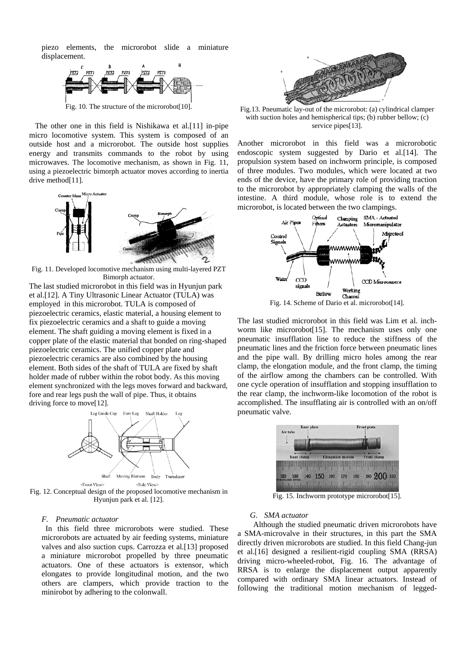piezo elements, the microrobot slide a miniature displacement.



 The other one in this field is Nishikawa et al.[11] in-pipe micro locomotive system. This system is composed of an outside host and a microrobot. The outside host supplies energy and transmits commands to the robot by using microwaves. The locomotive mechanism, as shown in Fig. 11, using a piezoelectric bimorph actuator moves according to inertia drive method<sup>[11]</sup>.



Fig. 11. Developed locomotive mechanism using multi-layered PZT Bimorph actuator.

The last studied microrobot in this field was in Hyunjun park et al.[12]. A Tiny Ultrasonic Linear Actuator (TULA) was employed in this microrobot. TULA is composed of piezoelectric ceramics, elastic material, a housing element to fix piezoelectric ceramics and a shaft to guide a moving element. The shaft guiding a moving element is fixed in a copper plate of the elastic material that bonded on ring-shaped piezoelectric ceramics. The unified copper plate and piezoelectric ceramics are also combined by the housing element. Both sides of the shaft of TULA are fixed by shaft holder made of rubber within the robot body. As this moving element synchronized with the legs moves forward and backward, fore and rear legs push the wall of pipe. Thus, it obtains driving force to move[12].



<Front View> <Side View>

Fig. 12. Conceptual design of the proposed locomotive mechanism in Hyunjun park et al. [12].

### *F. Pneumatic actuator*

 In this field three microrobots were studied. These microrobots are actuated by air feeding systems, miniature valves and also suction cups. Carrozza et al.[13] proposed a miniature microrobot propelled by three pneumatic actuators. One of these actuators is extensor, which elongates to provide longitudinal motion, and the two others are clampers, which provide traction to the minirobot by adhering to the colonwall.



Fig.13. Pneumatic lay-out of the microrobot: (a) cylindrical clamper with suction holes and hemispherical tips; (b) rubber bellow; (c) service pipes[13].

Another microrobot in this field was a microrobotic endoscopic system suggested by Dario et al.[14]. The propulsion system based on inchworm principle, is composed of three modules. Two modules, which were located at two ends of the device, have the primary role of providing traction to the microrobot by appropriately clamping the walls of the intestine. A third module, whose role is to extend the microrobot, is located between the two clampings.



The last studied microrobot in this field was Lim et al. inchworm like microrobot[15]. The mechanism uses only one pneumatic insufflation line to reduce the stiffness of the pneumatic lines and the friction force between pneumatic lines and the pipe wall. By drilling micro holes among the rear clamp, the elongation module, and the front clamp, the timing of the airflow among the chambers can be controlled. With one cycle operation of insufflation and stopping insufflation to the rear clamp, the inchworm-like locomotion of the robot is accomplished. The insufflating air is controlled with an on/off pneumatic valve.



Fig. 15. Inchworm prototype microrobot[15].

### *G. SMA actuator*

 Although the studied pneumatic driven microrobots have a SMA-microvalve in their structures, in this part the SMA directly driven microrobots are studied. In this field Chang-jun et al.[16] designed a resilient-rigid coupling SMA (RRSA) driving micro-wheeled-robot, Fig. 16. The advantage of RRSA is to enlarge the displacement output apparently compared with ordinary SMA linear actuators. Instead of following the traditional motion mechanism of legged-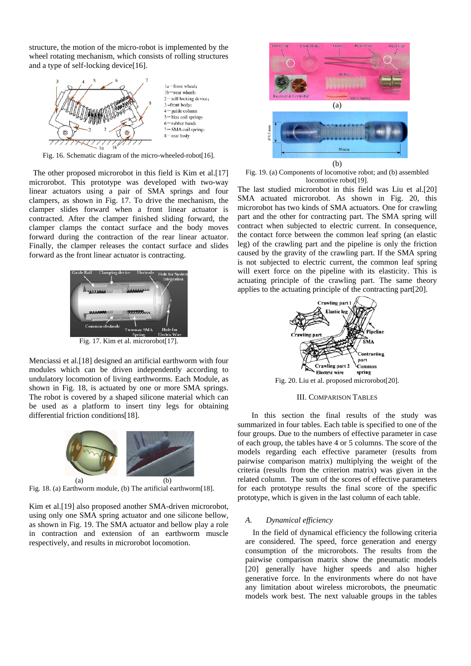structure, the motion of the micro-robot is implemented by the wheel rotating mechanism, which consists of rolling structures and a type of self-locking device[16].



Fig. 16. Schematic diagram of the micro-wheeled-robot[16].

The other proposed microrobot in this field is Kim et al.[17] microrobot. This prototype was developed with two-way linear actuators using a pair of SMA springs and four clampers, as shown in Fig. 17. To drive the mechanism, the clamper slides forward when a front linear actuator is contracted. After the clamper finished sliding forward, the clamper clamps the contact surface and the body moves forward during the contraction of the rear linear actuator. Finally, the clamper releases the contact surface and slides forward as the front linear actuator is contracting.



Fig. 17. Kim et al. microrobot[17].

Menciassi et al.[18] designed an artificial earthworm with four modules which can be driven independently according to undulatory locomotion of living earthworms. Each Module, as shown in Fig. 18, is actuated by one or more SMA springs. The robot is covered by a shaped silicone material which can be used as a platform to insert tiny legs for obtaining differential friction conditions[18].



Fig. 18. (a) Earthworm module, (b) The artificial earthworm[18].

Kim et al.[19] also proposed another SMA-driven microrobot, using only one SMA spring actuator and one silicone bellow, as shown in Fig. 19. The SMA actuator and bellow play a role in contraction and extension of an earthworm muscle respectively, and results in microrobot locomotion.



Fig. 19. (a) Components of locomotive robot; and (b) assembled locomotive robot[19].

The last studied microrobot in this field was Liu et al.[20] SMA actuated microrobot. As shown in Fig. 20, this microrobot has two kinds of SMA actuators. One for crawling part and the other for contracting part. The SMA spring will contract when subjected to electric current. In consequence, the contact force between the common leaf spring (an elastic leg) of the crawling part and the pipeline is only the friction caused by the gravity of the crawling part. If the SMA spring is not subjected to electric current, the common leaf spring will exert force on the pipeline with its elasticity. This is actuating principle of the crawling part. The same theory applies to the actuating principle of the contracting part[20].



Fig. 20. Liu et al. proposed microrobot[20].

## III. COMPARISON TABLES

 In this section the final results of the study was summarized in four tables. Each table is specified to one of the four groups. Due to the numbers of effective parameter in case of each group, the tables have 4 or 5 columns. The score of the models regarding each effective parameter (results from pairwise comparison matrix) multiplying the weight of the criteria (results from the criterion matrix) was given in the related column. The sum of the scores of effective parameters for each prototype results the final score of the specific prototype, which is given in the last column of each table.

#### *A. Dynamical efficiency*

In the field of dynamical efficiency the following criteria are considered. The speed, force generation and energy consumption of the microrobots. The results from the pairwise comparison matrix show the pneumatic models [20] generally have higher speeds and also higher generative force. In the environments where do not have any limitation about wireless microrobots, the pneumatic models work best. The next valuable groups in the tables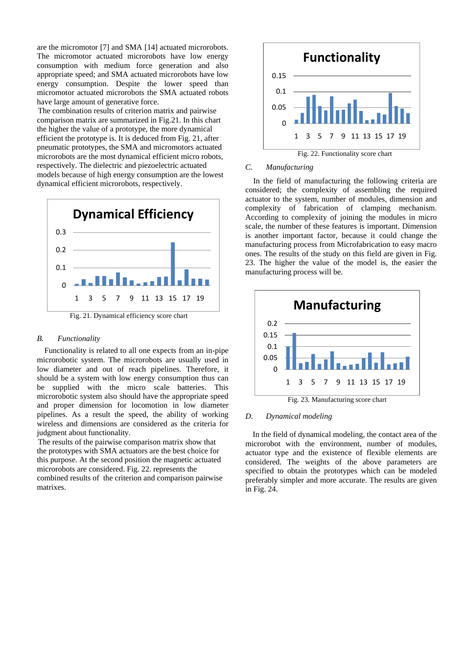are the micromotor [7] and SMA [14] actuated microrobots. The micromotor actuated microrobots have low energy consumption with medium force generation and also appropriate speed; and SMA actuated microrobots have low energy consumption. Despite the lower speed than micromotor actuated microrobots the SMA actuated robots have large amount of generative force.

The combination results of criterion matrix and pairwise comparison matrix are summarized in Fig.21. In this chart the higher the value of a prototype, the more dynamical efficient the prototype is. It is deduced from Fig. 21, after pneumatic prototypes, the SMA and micromotors actuated microrobots are the most dynamical efficient micro robots, respectively. The dielectric and piezoelectric actuated models because of high energy consumption are the lowest dynamical efficient microrobots, respectively.



## *B. Functionality*

Functionality is related to all one expects from an in-pipe microrobotic system. The microrobots are usually used in low diameter and out of reach pipelines. Therefore, it should be a system with low energy consumption thus can be supplied with the micro scale batteries. This microrobotic system also should have the appropriate speed and proper dimension for locomotion in low diameter pipelines. As a result the speed, the ability of working wireless and dimensions are considered as the criteria for judgment about functionality.

The results of the pairwise comparison matrix show that the prototypes with SMA actuators are the best choice for this purpose. At the second position the magnetic actuated microrobots are considered. Fig. 22. represents the combined results of the criterion and comparison pairwise matrixes.



## *C. Manufacturing*

 In the field of manufacturing the following criteria are considered; the complexity of assembling the required actuator to the system, number of modules, dimension and complexity of fabrication of clamping mechanism. According to complexity of joining the modules in micro scale, the number of these features is important. Dimension is another important factor, because it could change the manufacturing process from Microfabrication to easy macro ones. The results of the study on this field are given in Fig. 23. The higher the value of the model is, the easier the manufacturing process will be.



Fig. 23. Manufacturing score chart

## *D. Dynamical modeling*

In the field of dynamical modeling, the contact area of the microrobot with the environment, number of modules, actuator type and the existence of flexible elements are considered. The weights of the above parameters are specified to obtain the prototypes which can be modeled preferably simpler and more accurate. The results are given in Fig. 24.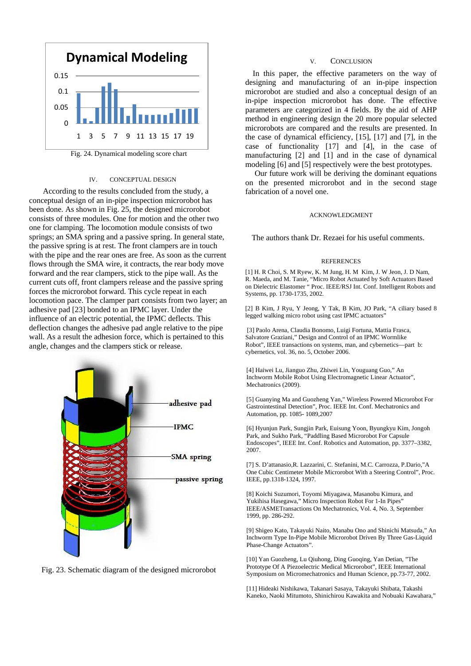

Fig. 24. Dynamical modeling score chart

## IV. CONCEPTUAL DESIGN

 According to the results concluded from the study, a conceptual design of an in-pipe inspection microrobot has been done. As shown in Fig. 25, the designed microrobot consists of three modules. One for motion and the other two one for clamping. The locomotion module consists of two springs; an SMA spring and a passive spring. In general state, the passive spring is at rest. The front clampers are in touch with the pipe and the rear ones are free. As soon as the current flows through the SMA wire, it contracts, the rear body move forward and the rear clampers, stick to the pipe wall. As the current cuts off, front clampers release and the passive spring forces the microrobot forward. This cycle repeat in each locomotion pace. The clamper part consists from two layer; an adhesive pad [23] bonded to an IPMC layer. Under the influence of an electric potential, the IPMC deflects. This deflection changes the adhesive pad angle relative to the pipe wall. As a result the adhesion force, which is pertained to this angle, changes and the clampers stick or release.





### V. CONCLUSION

In this paper, the effective parameters on the way of designing and manufacturing of an in-pipe inspection microrobot are studied and also a conceptual design of an in-pipe inspection microrobot has done. The effective parameters are categorized in 4 fields. By the aid of AHP method in engineering design the 20 more popular selected microrobots are compared and the results are presented. In the case of dynamical efficiency, [15], [17] and [7], in the case of functionality [17] and [4], in the case of manufacturing [2] and [1] and in the case of dynamical modeling [6] and [5] respectively were the best prototypes.

Our future work will be deriving the dominant equations on the presented microrobot and in the second stage fabrication of a novel one.

### ACKNOWLEDGMENT

The authors thank Dr. Rezaei for his useful comments.

#### **REFERENCES**

[1] H. R Choi, S. M Ryew, K. M Jung, H. M Kim, J. W Jeon, J. D Nam, R. Maeda, and M. Tanie, "Micro Robot Actuated by Soft Actuators Based on Dielectric Elastomer " Proc. IEEE/RSJ Int. Conf. Intelligent Robots and Systems, pp. 1730-1735, 2002.

[2] B Kim, J Ryu, Y Jeong, Y Tak, B Kim, JO Park, "A ciliary based 8 legged walking micro robot using cast IPMC actuators"

[3] Paolo Arena, Claudia Bonomo, Luigi Fortuna, Mattia Frasca, Salvatore Graziani," Design and Control of an IPMC Wormlike Robot", IEEE transactions on systems, man, and cybernetics—part b: cybernetics, vol. 36, no. 5, October 2006.

[4] Haiwei Lu, Jianguo Zhu, Zhiwei Lin, Youguang Guo," An Inchworm Mobile Robot Using Electromagnetic Linear Actuator", Mechatronics (2009).

[5] Guanying Ma and Guozheng Yan," Wireless Powered Microrobot For Gastrointestinal Detection", Proc. IEEE Int. Conf. Mechatronics and Automation, pp. 1085- 1089,2007

[6] Hyunjun Park, Sungjin Park, Euisung Yoon, Byungkyu Kim, Jongoh Park, and Sukho Park, "Paddling Based Microrobot For Capsule Endoscopes", IEEE Int. Conf. Robotics and Automation, pp. 3377–3382, 2007.

[7] S. D'attanasio,R. Lazzarini, C. Stefanini, M.C. Carrozza, P.Dario,"A One Cubic Centimeter Mobile Microrobot With a Steering Control", Proc. IEEE, pp.1318-1324, 1997.

[8] Koichi Suzumori, Toyomi Miyagawa, Masanobu Kimura, and Yukihisa Hasegawa," Micro Inspection Robot For 1-In Pipes" IEEE/ASMETransactions On Mechatronics, Vol. 4, No. 3, September 1999, pp. 286-292.

[9] Shigeo Kato, Takayuki Naito, Manabu Ono and Shinichi Matsuda," An Inchworm Type In-Pipe Mobile Microrobot Driven By Three Gas-Liquid Phase-Change Actuators".

[10] Yan Guozheng, Lu Qiuhong, Ding Guoqing, Yan Detian, "The Prototype Of A Piezoelectric Medical Microrobot", IEEE International Symposium on Micromechatronics and Human Science, pp.73-77, 2002.

[11] Hideaki Nishikawa, Takanari Sasaya, Takayuki Shibata, Takashi Kaneko, Naoki Mitumoto, Shinichirou Kawakita and Nobuaki Kawahara,"